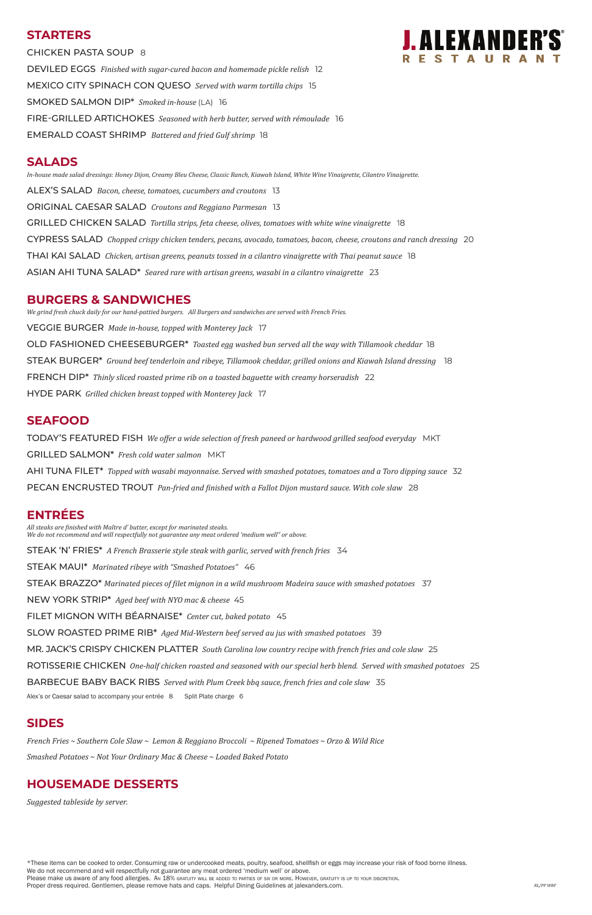### **STARTERS**

CHICKEN PASTA SOUP 8 DEVILED EGGS *Finished with sugar-cured bacon and homemade pickle relish* 12 MEXICO CITY SPINACH CON QUESO *Served with warm tortilla chips* 15 SMOKED SALMON DIP\* *Smoked in-house* (LA) 16 FIRE-GRILLED ARTICHOKES *Seasoned with herb butter, served with rémoulade* 16 EMERALD COAST SHRIMP *Battered and fried Gulf shrimp* 18

### **SALADS**

*In-house made salad dressings: Honey Dijon, Creamy Bleu Cheese, Classic Ranch, Kiawah Island, White Wine Vinaigrette, Cilantro Vinaigrette.* ALEX'S SALAD *Bacon, cheese, tomatoes, cucumbers and croutons* 13 ORIGINAL CAESAR SALAD *Croutons and Reggiano Parmesan* 13 GRILLED CHICKEN SALAD *Tortilla strips, feta cheese, olives, tomatoes with white wine vinaigrette* 18 CYPRESS SALAD *Chopped crispy chicken tenders, pecans, avocado, tomatoes, bacon, cheese, croutons and ranch dressing* 20 THAI KAI SALAD *Chicken, artisan greens, peanuts tossed in a cilantro vinaigrette with Thai peanut sauce* 18 ASIAN AHI TUNA SALAD\* *Seared rare with artisan greens, wasabi in a cilantro vinaigrette* 23

## **BURGERS & SANDWICHES**

*We grind fresh chuck daily for our hand-pattied burgers. All Burgers and sandwiches are served with French Fries.* VEGGIE BURGER *Made in-house, topped with Monterey Jack* 17 OLD FASHIONED CHEESEBURGER\* *Toasted egg washed bun served all the way with Tillamook cheddar* 18 STEAK BURGER\* *Ground beef tenderloin and ribeye, Tillamook cheddar, grilled onions and Kiawah Island dressing* 18 FRENCH DIP\* *Thinly sliced roasted prime rib on a toasted baguette with creamy horseradish* 22 HYDE PARK *Grilled chicken breast topped with Monterey Jack* 17

## **SEAFOOD**

\*These items can be cooked to order. Consuming raw or undercooked meats, poultry, seafood, shellfish or eggs may increase your risk of food borne illness. We do not recommend and will respectfully not guarantee any meat ordered 'medium well' or above. Please make us aware of any food allergies. An 18% GRATUITY WILL BE ADDED TO PARTIES OF SIX OR MORE. HowEVER, GRATUITY IS UP TO YOUR DISCRETION. Proper dress required. Gentlemen, please remove hats and caps. Helpful Dining Guidelines at jalexanders.com. *RL/PP WBF RL/PP WBF* 

TODAY'S FEATURED FISH *We offer a wide selection of fresh paneed or hardwood grilled seafood everyday* MKT GRILLED SALMON\* *Fresh cold water salmon* MKT AHI TUNA FILET\* *Topped with wasabi mayonnaise. Served with smashed potatoes, tomatoes and a Toro dipping sauce* 32 PECAN ENCRUSTED TROUT *Pan-fried and finished with a Fallot Dijon mustard sauce. With cole slaw* 28

## **ENTRÉES**

*All steaks are finished with Maître d' butter, except for marinated steaks. We do not recommend and will respectfully not guarantee any meat ordered 'medium well" or above.* STEAK 'N' FRIES\* *A French Brasserie style steak with garlic, served with french fries* 34 STEAK MAUI\* *Marinated ribeye with "Smashed Potatoes"* 46 STEAK BRAZZO\* *Marinated pieces of filet mignon in a wild mushroom Madeira sauce with smashed potatoes* 37 NEW YORK STRIP\* *Aged beef with NYO mac & cheese* 45

FILET MIGNON WITH BÉARNAISE\* *Center cut, baked potato* 45

SLOW ROASTED PRIME RIB\* *Aged Mid-Western beef served au jus with smashed potatoes* 39

MR. JACK'S CRISPY CHICKEN PLATTER *South Carolina low country recipe with french fries and cole slaw* 25

ROTISSERIE CHICKEN *One-half chicken roasted and seasoned with our special herb blend. Served with smashed potatoes* 25



#### BARBECUE BABY BACK RIBS *Served with Plum Creek bbq sauce, french fries and cole slaw* 35

Alex's or Caesar salad to accompany your entrée 8 Split Plate charge 6

### **SIDES**

*French Fries ~ Southern Cole Slaw ~ Lemon & Reggiano Broccoli ~ Ripened Tomatoes ~ Orzo & Wild Rice* 

*Smashed Potatoes ~ Not Your Ordinary Mac & Cheese ~ Loaded Baked Potato* 

### **HOUSEMADE DESSERTS**

*Suggested tableside by server.*